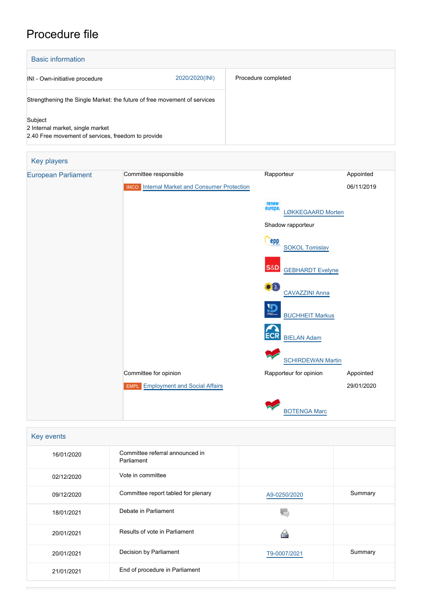# Procedure file

| <b>Basic information</b>                                                                          |                |                     |
|---------------------------------------------------------------------------------------------------|----------------|---------------------|
| INI - Own-initiative procedure                                                                    | 2020/2020(INI) | Procedure completed |
| Strengthening the Single Market: the future of free movement of services                          |                |                     |
| Subject<br>2 Internal market, single market<br>2.40 Free movement of services, freedom to provide |                |                     |

| Key players                |                                                     |                                                 |            |
|----------------------------|-----------------------------------------------------|-------------------------------------------------|------------|
| <b>European Parliament</b> | Committee responsible                               | Rapporteur                                      | Appointed  |
|                            | <b>IMCO</b> Internal Market and Consumer Protection |                                                 | 06/11/2019 |
|                            |                                                     | renew<br>europe<br>LØKKEGAARD Morten            |            |
|                            |                                                     | Shadow rapporteur                               |            |
|                            |                                                     | <b>epp</b><br><b>SOKOL Tomislav</b>             |            |
|                            |                                                     | <b>S&amp;D</b><br><b>GEBHARDT Evelyne</b>       |            |
|                            |                                                     | $\bullet$ <sup>0</sup><br><b>CAVAZZINI Anna</b> |            |
|                            |                                                     | יַיֱ<br><b>BUCHHEIT Markus</b>                  |            |
|                            |                                                     | <b>ECR</b><br><b>BIELAN Adam</b>                |            |
|                            |                                                     | <b>SCHIRDEWAN Martin</b>                        |            |
|                            | Committee for opinion                               | Rapporteur for opinion                          | Appointed  |
|                            | <b>EMPL</b> Employment and Social Affairs           |                                                 | 29/01/2020 |
|                            |                                                     | <b>BOTENGA Marc</b>                             |            |

| Key events |                                               |              |         |
|------------|-----------------------------------------------|--------------|---------|
| 16/01/2020 | Committee referral announced in<br>Parliament |              |         |
| 02/12/2020 | Vote in committee                             |              |         |
| 09/12/2020 | Committee report tabled for plenary           | A9-0250/2020 | Summary |
| 18/01/2021 | Debate in Parliament                          |              |         |
| 20/01/2021 | Results of vote in Parliament                 |              |         |
| 20/01/2021 | Decision by Parliament                        | T9-0007/2021 | Summary |
| 21/01/2021 | End of procedure in Parliament                |              |         |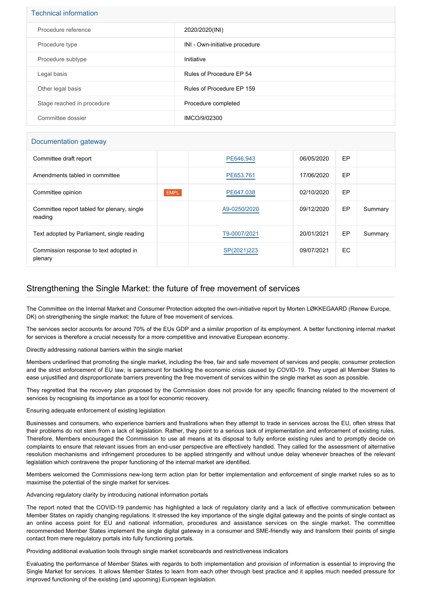| <b>Technical information</b> |                                |  |  |
|------------------------------|--------------------------------|--|--|
| Procedure reference          | 2020/2020(INI)                 |  |  |
| Procedure type               | INI - Own-initiative procedure |  |  |
| Procedure subtype            | Initiative                     |  |  |
| Legal basis                  | Rules of Procedure EP 54       |  |  |
| Other legal basis            | Rules of Procedure EP 159      |  |  |
| Stage reached in procedure   | Procedure completed            |  |  |
| Committee dossier            | IMCO/9/02300                   |  |  |

### Documentation gateway

| Committee draft report                                 |             | PE646.943    | 06/05/2020 | EP |         |
|--------------------------------------------------------|-------------|--------------|------------|----|---------|
| Amendments tabled in committee                         |             | PE653.761    | 17/06/2020 | EP |         |
| Committee opinion                                      | <b>EMPL</b> | PE647.038    | 02/10/2020 | EP |         |
| Committee report tabled for plenary, single<br>reading |             | A9-0250/2020 | 09/12/2020 | EP | Summary |
| Text adopted by Parliament, single reading             |             | T9-0007/2021 | 20/01/2021 | EP | Summary |
| Commission response to text adopted in<br>plenary      |             | SP(2021)223  | 09/07/2021 | EC |         |

## Strengthening the Single Market: the future of free movement of services

The Committee on the Internal Market and Consumer Protection adopted the own-initiative report by Morten LØKKEGAARD (Renew Europe, DK) on strengthening the single market: the future of free movement of services.

The services sector accounts for around 70% of the EUs GDP and a similar proportion of its employment. A better functioning internal market for services is therefore a crucial necessity for a more competitive and innovative European economy.

Directly addressing national barriers within the single market

Members underlined that promoting the single market, including the free, fair and safe movement of services and people, consumer protection and the strict enforcement of EU law, is paramount for tackling the economic crisis caused by COVID-19. They urged all Member States to ease unjustified and disproportionate barriers preventing the free movement of services within the single market as soon as possible.

They regretted that the recovery plan proposed by the Commission does not provide for any specific financing related to the movement of services by recognising its importance as a tool for economic recovery.

Ensuring adequate enforcement of existing legislation

Businesses and consumers, who experience barriers and frustrations when they attempt to trade in services across the EU, often stress that their problems do not stem from a lack of legislation. Rather, they point to a serious lack of implementation and enforcement of existing rules. Therefore, Members encouraged the Commission to use all means at its disposal to fully enforce existing rules and to promptly decide on complaints to ensure that relevant issues from an end-user perspective are effectively handled. They called for the assessment of alternative resolution mechanisms and infringement procedures to be applied stringently and without undue delay whenever breaches of the relevant legislation which contravene the proper functioning of the internal market are identified.

Members welcomed the Commissions new-long term action plan for better implementation and enforcement of single market rules so as to maximise the potential of the single market for services.

Advancing regulatory clarity by introducing national information portals

The report noted that the COVID-19 pandemic has highlighted a lack of regulatory clarity and a lack of effective communication between Member States on rapidly changing regulations. It stressed the key importance of the single digital gateway and the points of single contact as an online access point for EU and national information, procedures and assistance services on the single market. The committee recommended Member States implement the single digital gateway in a consumer and SME-friendly way and transform their points of single contact from mere regulatory portals into fully functioning portals.

Providing additional evaluation tools through single market scoreboards and restrictiveness indicators

Evaluating the performance of Member States with regards to both implementation and provision of information is essential to improving the Single Market for services. It allows Member States to learn from each other through best practice and it applies much needed pressure for improved functioning of the existing (and upcoming) European legislation.